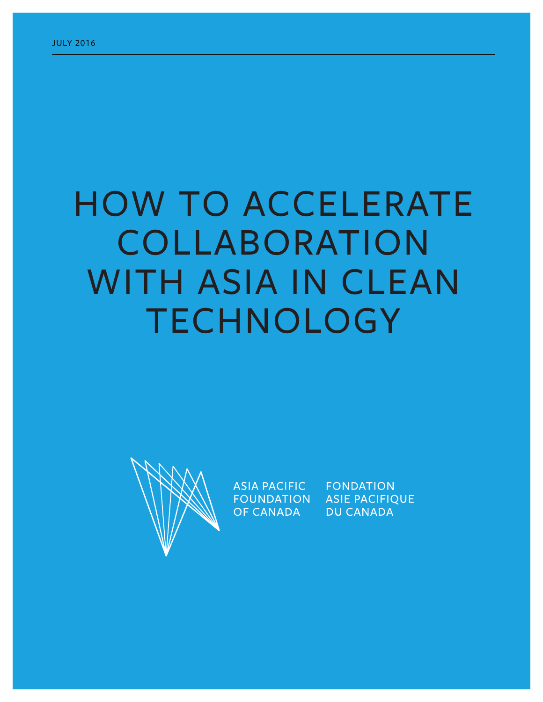# HOW TO ACCELERATE COLLABORATION WITH ASIA IN CLEAN TECHNOLOGY



**ASIA PACIFIC FOUNDATION** OF CANADA

**FONDATION ASIE PACIFIQUE DU CANADA**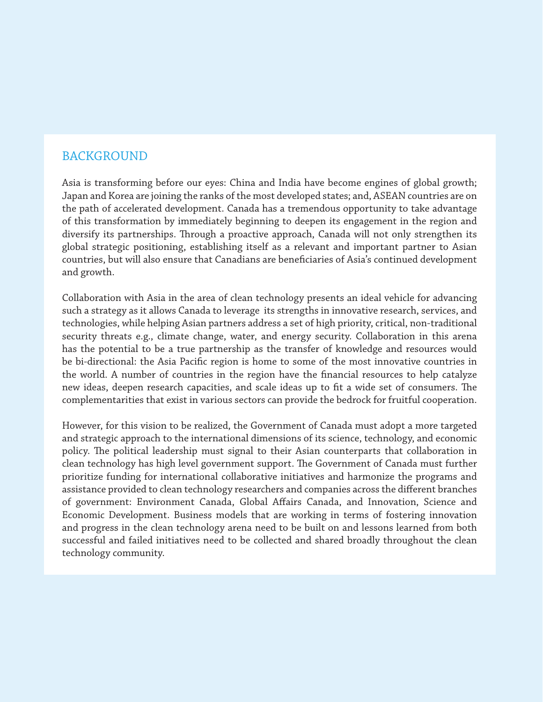# BACKGROUND

Asia is transforming before our eyes: China and India have become engines of global growth; Japan and Korea are joining the ranks of the most developed states; and, ASEAN countries are on the path of accelerated development. Canada has a tremendous opportunity to take advantage of this transformation by immediately beginning to deepen its engagement in the region and diversify its partnerships. Through a proactive approach, Canada will not only strengthen its global strategic positioning, establishing itself as a relevant and important partner to Asian countries, but will also ensure that Canadians are beneficiaries of Asia's continued development and growth.

Collaboration with Asia in the area of clean technology presents an ideal vehicle for advancing such a strategy as it allows Canada to leverage its strengths in innovative research, services, and technologies, while helping Asian partners address a set of high priority, critical, non-traditional security threats e.g., climate change, water, and energy security. Collaboration in this arena has the potential to be a true partnership as the transfer of knowledge and resources would be bi-directional: the Asia Pacific region is home to some of the most innovative countries in the world. A number of countries in the region have the financial resources to help catalyze new ideas, deepen research capacities, and scale ideas up to fit a wide set of consumers. The complementarities that exist in various sectors can provide the bedrock for fruitful cooperation.

However, for this vision to be realized, the Government of Canada must adopt a more targeted and strategic approach to the international dimensions of its science, technology, and economic policy. The political leadership must signal to their Asian counterparts that collaboration in clean technology has high level government support. The Government of Canada must further prioritize funding for international collaborative initiatives and harmonize the programs and assistance provided to clean technology researchers and companies across the different branches of government: Environment Canada, Global Affairs Canada, and Innovation, Science and Economic Development. Business models that are working in terms of fostering innovation and progress in the clean technology arena need to be built on and lessons learned from both successful and failed initiatives need to be collected and shared broadly throughout the clean technology community.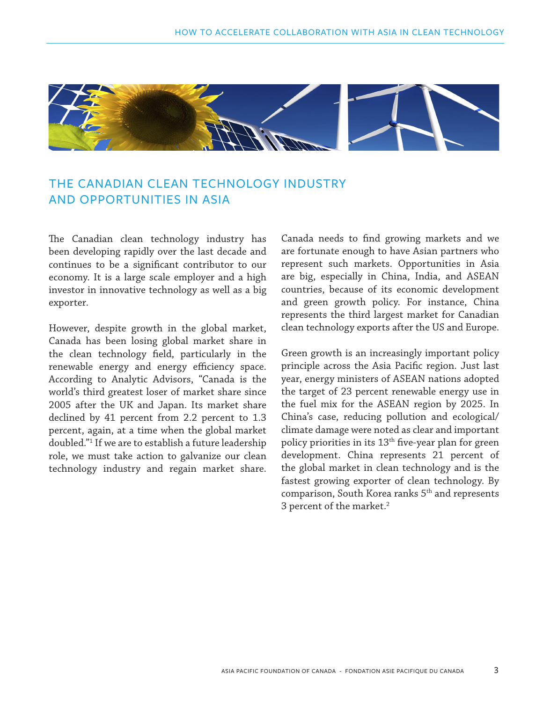

# THE CANADIAN CLEAN TECHNOLOGY INDUSTRY AND OPPORTUNITIES IN ASIA

The Canadian clean technology industry has been developing rapidly over the last decade and continues to be a significant contributor to our economy. It is a large scale employer and a high investor in innovative technology as well as a big exporter.

However, despite growth in the global market, Canada has been losing global market share in the clean technology field, particularly in the renewable energy and energy efficiency space. According to Analytic Advisors, "Canada is the world's third greatest loser of market share since 2005 after the UK and Japan. Its market share declined by 41 percent from 2.2 percent to 1.3 percent, again, at a time when the global market doubled."1 If we are to establish a future leadership role, we must take action to galvanize our clean technology industry and regain market share.

Canada needs to find growing markets and we are fortunate enough to have Asian partners who represent such markets. Opportunities in Asia are big, especially in China, India, and ASEAN countries, because of its economic development and green growth policy. For instance, China represents the third largest market for Canadian clean technology exports after the US and Europe.

Green growth is an increasingly important policy principle across the Asia Pacific region. Just last year, energy ministers of ASEAN nations adopted the target of 23 percent renewable energy use in the fuel mix for the ASEAN region by 2025. In China's case, reducing pollution and ecological/ climate damage were noted as clear and important policy priorities in its  $13<sup>th</sup>$  five-year plan for green development. China represents 21 percent of the global market in clean technology and is the fastest growing exporter of clean technology. By comparison, South Korea ranks 5<sup>th</sup> and represents 3 percent of the market.<sup>2</sup>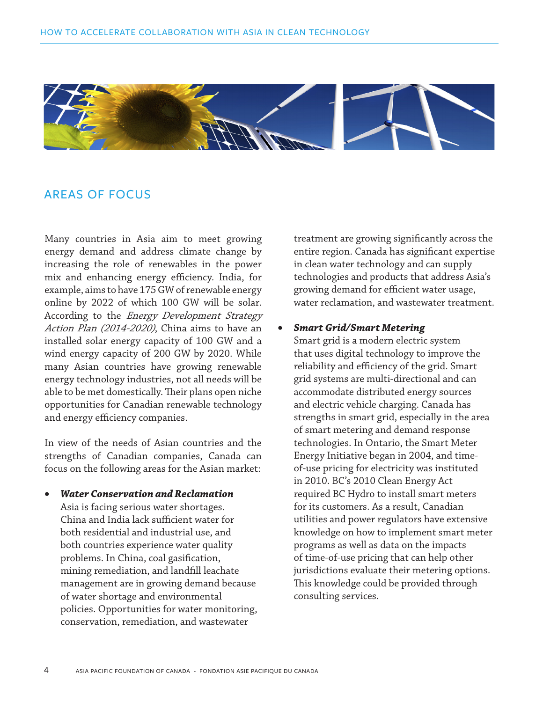

## AREAS OF FOCUS

Many countries in Asia aim to meet growing energy demand and address climate change by increasing the role of renewables in the power mix and enhancing energy efficiency. India, for example, aims to have 175 GW of renewable energy online by 2022 of which 100 GW will be solar. According to the *Energy Development Strategy* Action Plan (2014-2020), China aims to have an installed solar energy capacity of 100 GW and a wind energy capacity of 200 GW by 2020. While many Asian countries have growing renewable energy technology industries, not all needs will be able to be met domestically. Their plans open niche opportunities for Canadian renewable technology and energy efficiency companies.

In view of the needs of Asian countries and the strengths of Canadian companies, Canada can focus on the following areas for the Asian market:

• *Water Conservation and Reclamation* Asia is facing serious water shortages. China and India lack sufficient water for both residential and industrial use, and both countries experience water quality problems. In China, coal gasification, mining remediation, and landfill leachate management are in growing demand because of water shortage and environmental policies. Opportunities for water monitoring, conservation, remediation, and wastewater

treatment are growing significantly across the entire region. Canada has significant expertise in clean water technology and can supply technologies and products that address Asia's growing demand for efficient water usage, water reclamation, and wastewater treatment.

#### • *Smart Grid/Smart Metering*

Smart grid is a modern electric system that uses digital technology to improve the reliability and efficiency of the grid. Smart grid systems are multi-directional and can accommodate distributed energy sources and electric vehicle charging. Canada has strengths in smart grid, especially in the area of smart metering and demand response technologies. In Ontario, the Smart Meter Energy Initiative began in 2004, and timeof-use pricing for electricity was instituted in 2010. BC's 2010 Clean Energy Act required BC Hydro to install smart meters for its customers. As a result, Canadian utilities and power regulators have extensive knowledge on how to implement smart meter programs as well as data on the impacts of time-of-use pricing that can help other jurisdictions evaluate their metering options. This knowledge could be provided through consulting services.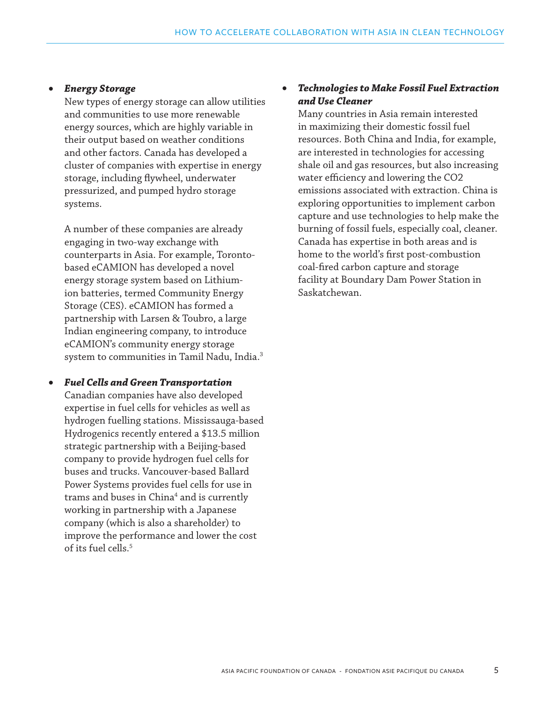#### *Energy Storage*

New types of energy storage can allow utilities and communities to use more renewable energy sources, which are highly variable in their output based on weather conditions and other factors. Canada has developed a cluster of companies with expertise in energy storage, including flywheel, underwater pressurized, and pumped hydro storage systems.

A number of these companies are already engaging in two-way exchange with counterparts in Asia. For example, Torontobased eCAMION has developed a novel energy storage system based on Lithiumion batteries, termed Community Energy Storage (CES). eCAMION has formed a partnership with Larsen & Toubro, a large Indian engineering company, to introduce eCAMION's community energy storage system to communities in Tamil Nadu, India.<sup>3</sup>

• *Fuel Cells and Green Transportation* Canadian companies have also developed expertise in fuel cells for vehicles as well as hydrogen fuelling stations. Mississauga-based Hydrogenics recently entered a \$13.5 million strategic partnership with a Beijing-based company to provide hydrogen fuel cells for buses and trucks. Vancouver-based Ballard Power Systems provides fuel cells for use in trams and buses in China<sup>4</sup> and is currently working in partnership with a Japanese company (which is also a shareholder) to improve the performance and lower the cost of its fuel cells.5

#### **Technologies to Make Fossil Fuel Extraction** *and Use Cleaner*

Many countries in Asia remain interested in maximizing their domestic fossil fuel resources. Both China and India, for example, are interested in technologies for accessing shale oil and gas resources, but also increasing water efficiency and lowering the CO2 emissions associated with extraction. China is exploring opportunities to implement carbon capture and use technologies to help make the burning of fossil fuels, especially coal, cleaner. Canada has expertise in both areas and is home to the world's first post-combustion coal-fired carbon capture and storage facility at Boundary Dam Power Station in Saskatchewan.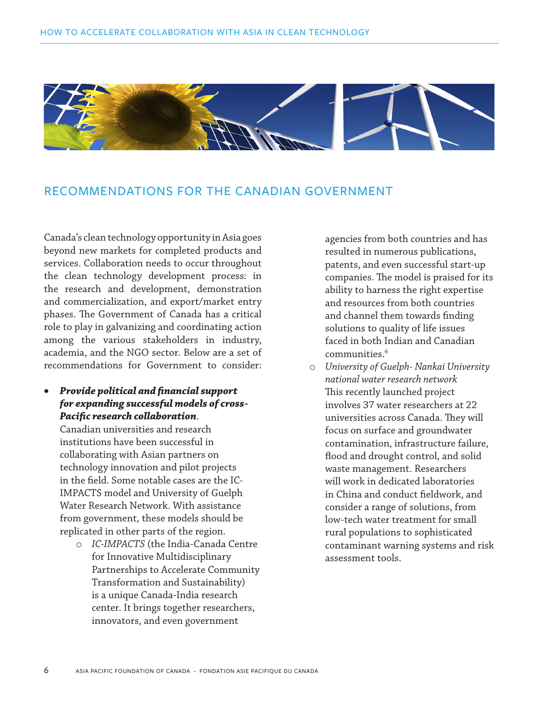

# RECOMMENDATIONS FOR THE CANADIAN GOVERNMENT

Canada's clean technology opportunity in Asia goes beyond new markets for completed products and services. Collaboration needs to occur throughout the clean technology development process: in the research and development, demonstration and commercialization, and export/market entry phases. The Government of Canada has a critical role to play in galvanizing and coordinating action among the various stakeholders in industry, academia, and the NGO sector. Below are a set of recommendations for Government to consider:

• *Provide political and financial support for expanding successful models of cross-Pacific research collaboration*.

Canadian universities and research institutions have been successful in collaborating with Asian partners on technology innovation and pilot projects in the field. Some notable cases are the IC-IMPACTS model and University of Guelph Water Research Network. With assistance from government, these models should be replicated in other parts of the region.

o *IC-IMPACTS* (the India-Canada Centre for Innovative Multidisciplinary Partnerships to Accelerate Community Transformation and Sustainability) is a unique Canada-India research center. It brings together researchers, innovators, and even government

agencies from both countries and has resulted in numerous publications, patents, and even successful start-up companies. The model is praised for its ability to harness the right expertise and resources from both countries and channel them towards finding solutions to quality of life issues faced in both Indian and Canadian communities.6

o *University of Guelph- Nankai University national water research network* This recently launched project involves 37 water researchers at 22 universities across Canada. They will focus on surface and groundwater contamination, infrastructure failure, flood and drought control, and solid waste management. Researchers will work in dedicated laboratories in China and conduct fieldwork, and consider a range of solutions, from low-tech water treatment for small rural populations to sophisticated contaminant warning systems and risk assessment tools.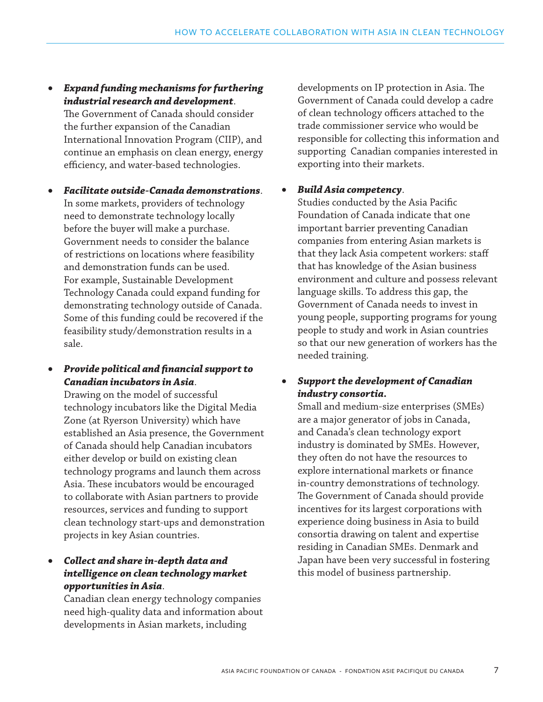• *Expand funding mechanisms for furthering industrial research and development*.

The Government of Canada should consider the further expansion of the Canadian International Innovation Program (CIIP), and continue an emphasis on clean energy, energy efficiency, and water-based technologies.

- • *Facilitate outside-Canada demonstrations*. In some markets, providers of technology need to demonstrate technology locally before the buyer will make a purchase. Government needs to consider the balance of restrictions on locations where feasibility and demonstration funds can be used. For example, Sustainable Development Technology Canada could expand funding for demonstrating technology outside of Canada. Some of this funding could be recovered if the feasibility study/demonstration results in a sale.
- • *Provide political and financial support to Canadian incubators in Asia*.

Drawing on the model of successful technology incubators like the Digital Media Zone (at Ryerson University) which have established an Asia presence, the Government of Canada should help Canadian incubators either develop or build on existing clean technology programs and launch them across Asia. These incubators would be encouraged to collaborate with Asian partners to provide resources, services and funding to support clean technology start-ups and demonstration projects in key Asian countries.

# • *Collect and share in-depth data and intelligence on clean technology market opportunities in Asia*.

Canadian clean energy technology companies need high-quality data and information about developments in Asian markets, including

developments on IP protection in Asia. The Government of Canada could develop a cadre of clean technology officers attached to the trade commissioner service who would be responsible for collecting this information and supporting Canadian companies interested in exporting into their markets.

## • *Build Asia competency*.

Studies conducted by the Asia Pacific Foundation of Canada indicate that one important barrier preventing Canadian companies from entering Asian markets is that they lack Asia competent workers: staff that has knowledge of the Asian business environment and culture and possess relevant language skills. To address this gap, the Government of Canada needs to invest in young people, supporting programs for young people to study and work in Asian countries so that our new generation of workers has the needed training.

# **Support the development of Canadian** *industry consortia.*

Small and medium-size enterprises (SMEs) are a major generator of jobs in Canada, and Canada's clean technology export industry is dominated by SMEs. However, they often do not have the resources to explore international markets or finance in-country demonstrations of technology. The Government of Canada should provide incentives for its largest corporations with experience doing business in Asia to build consortia drawing on talent and expertise residing in Canadian SMEs. Denmark and Japan have been very successful in fostering this model of business partnership.